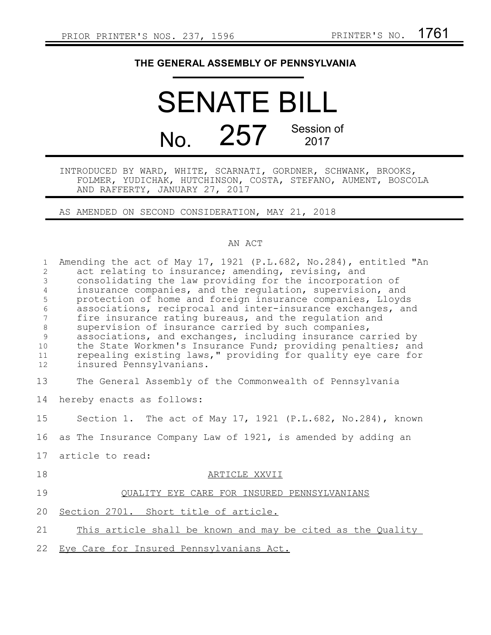## **THE GENERAL ASSEMBLY OF PENNSYLVANIA**

## SENATE BILL No. 257 Session of 2017

INTRODUCED BY WARD, WHITE, SCARNATI, GORDNER, SCHWANK, BROOKS, FOLMER, YUDICHAK, HUTCHINSON, COSTA, STEFANO, AUMENT, BOSCOLA AND RAFFERTY, JANUARY 27, 2017

AS AMENDED ON SECOND CONSIDERATION, MAY 21, 2018

## AN ACT

| $\mathbf{1}$<br>$\overline{2}$<br>3<br>$\overline{4}$<br>5<br>6<br>7<br>$\,8\,$<br>9<br>10<br>11<br>12 | Amending the act of May 17, 1921 (P.L.682, No.284), entitled "An<br>act relating to insurance; amending, revising, and<br>consolidating the law providing for the incorporation of<br>insurance companies, and the regulation, supervision, and<br>protection of home and foreign insurance companies, Lloyds<br>associations, reciprocal and inter-insurance exchanges, and<br>fire insurance rating bureaus, and the regulation and<br>supervision of insurance carried by such companies,<br>associations, and exchanges, including insurance carried by<br>the State Workmen's Insurance Fund; providing penalties; and<br>repealing existing laws," providing for quality eye care for<br>insured Pennsylvanians. |
|--------------------------------------------------------------------------------------------------------|------------------------------------------------------------------------------------------------------------------------------------------------------------------------------------------------------------------------------------------------------------------------------------------------------------------------------------------------------------------------------------------------------------------------------------------------------------------------------------------------------------------------------------------------------------------------------------------------------------------------------------------------------------------------------------------------------------------------|
| 13                                                                                                     | The General Assembly of the Commonwealth of Pennsylvania                                                                                                                                                                                                                                                                                                                                                                                                                                                                                                                                                                                                                                                               |
| 14                                                                                                     | hereby enacts as follows:                                                                                                                                                                                                                                                                                                                                                                                                                                                                                                                                                                                                                                                                                              |
| 15                                                                                                     | Section 1. The act of May 17, 1921 $(P.L.682, No.284)$ , known                                                                                                                                                                                                                                                                                                                                                                                                                                                                                                                                                                                                                                                         |
| 16                                                                                                     | as The Insurance Company Law of 1921, is amended by adding an                                                                                                                                                                                                                                                                                                                                                                                                                                                                                                                                                                                                                                                          |
| 17                                                                                                     | article to read:                                                                                                                                                                                                                                                                                                                                                                                                                                                                                                                                                                                                                                                                                                       |
| 18                                                                                                     | ARTICLE XXVII                                                                                                                                                                                                                                                                                                                                                                                                                                                                                                                                                                                                                                                                                                          |
| 19                                                                                                     | QUALITY EYE CARE FOR INSURED PENNSYLVANIANS                                                                                                                                                                                                                                                                                                                                                                                                                                                                                                                                                                                                                                                                            |
| 20                                                                                                     | Section 2701. Short title of article.                                                                                                                                                                                                                                                                                                                                                                                                                                                                                                                                                                                                                                                                                  |
| 21                                                                                                     | This article shall be known and may be cited as the Quality                                                                                                                                                                                                                                                                                                                                                                                                                                                                                                                                                                                                                                                            |
| 22                                                                                                     | Eye Care for Insured Pennsylvanians Act.                                                                                                                                                                                                                                                                                                                                                                                                                                                                                                                                                                                                                                                                               |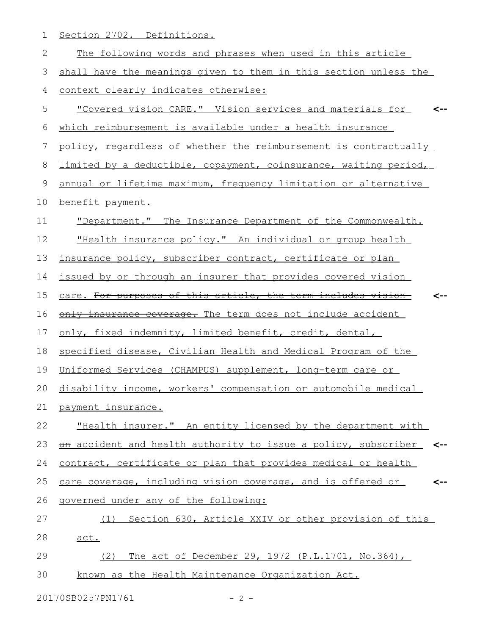1 Section 2702. Definitions.

| $\sqrt{2}$ | The following words and phrases when used in this article          |
|------------|--------------------------------------------------------------------|
| 3          | shall have the meanings given to them in this section unless the   |
| 4          | context clearly indicates otherwise:                               |
| 5          | "Covered vision CARE." Vision services and materials for           |
| 6          | which reimbursement is available under a health insurance          |
| 7          | policy, regardless of whether the reimbursement is contractually   |
| 8          | limited by a deductible, copayment, coinsurance, waiting period,   |
| 9          | annual or lifetime maximum, frequency limitation or alternative    |
| 10         | benefit payment.                                                   |
| 11         | "Department." The Insurance Department of the Commonwealth.        |
| 12         | "Health insurance policy." An individual or group health           |
| 13         | insurance policy, subscriber contract, certificate or plan         |
| 14         | issued by or through an insurer that provides covered vision       |
| 15         | care. For purposes of this article, the term includes vision       |
| 16         | only insurance coverage. The term does not include accident        |
| 17         | only, fixed indemnity, limited benefit, credit, dental,            |
| 18         | specified disease, Civilian Health and Medical Program of the      |
| 19         | Uniformed Services (CHAMPUS) supplement, long-term care or         |
| 20         | disability income, workers' compensation or automobile medical     |
|            | 21 payment insurance.                                              |
| 22         | "Health insurer." An entity licensed by the department with        |
| 23         | an accident and health authority to issue a policy, subscriber <-- |
| 24         | contract, certificate or plan that provides medical or health      |
| 25         | care coverage, including vision coverage, and is offered or<br><-- |
| 26         | governed under any of the following:                               |
| 27         | (1) Section 630, Article XXIV or other provision of this           |
| 28         | act.                                                               |
| 29         | The act of December 29, 1972 (P.L.1701, No.364),<br>(2)            |
| 30         | known as the Health Maintenance Organization Act.                  |
|            | 20170SB0257PN1761<br>$-2 -$                                        |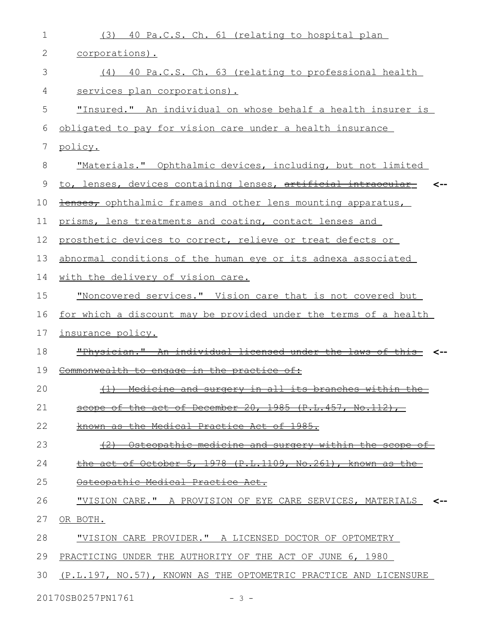| $\mathbf 1$ | 40 Pa.C.S. Ch. 61 (relating to hospital plan<br>(3)                     |
|-------------|-------------------------------------------------------------------------|
| 2           | corporations).                                                          |
| 3           | (4) 40 Pa.C.S. Ch. 63 (relating to professional health                  |
| 4           | services plan corporations).                                            |
| 5           | "Insured." An individual on whose behalf a health insurer is            |
| 6           | obligated to pay for vision care under a health insurance               |
| 7           | policy.                                                                 |
| 8           | "Materials." Ophthalmic devices, including, but not limited             |
| 9           | to, lenses, devices containing lenses, artificial intraocular           |
| 10          | <b>Henses, ophthalmic frames and other lens mounting apparatus,</b>     |
| 11          | prisms, lens treatments and coating, contact lenses and                 |
| 12          | prosthetic devices to correct, relieve or treat defects or              |
| 13          | abnormal conditions of the human eye or its adnexa associated           |
| 14          | with the delivery of vision care.                                       |
| 15          | "Noncovered services." Vision care that is not covered but              |
| 16          | <u>for which a discount may be provided under the terms of a health</u> |
| 17          | insurance policy.                                                       |
| 18          | "Physician." An individual licensed under the laws of this              |
| 19          | Commonwealth to engage in the practice of:                              |
| 20          | Medicine and surgery in all its branches within<br>$+1$                 |
| 21          | scope of the act of December 20, 1985 (P.L.457, No.112),                |
| 22          | known as the Medical Practice Act of 1985.                              |
| 23          | Osteopathic medicine and surgery within the scope of                    |
| 24          | the act of October 5, 1978 (P.L.1109, No.261), known as the             |
| 25          | Osteopathic Medical Practice Act.                                       |
| 26          | "VISION CARE." A PROVISION OF EYE CARE SERVICES, MATERIALS <--          |
| 27          | OR BOTH.                                                                |
| 28          | "VISION CARE PROVIDER." A LICENSED DOCTOR OF OPTOMETRY                  |
| 29          | PRACTICING UNDER THE AUTHORITY OF THE ACT OF JUNE 6, 1980               |
| 30          | (P.L.197, NO.57), KNOWN AS THE OPTOMETRIC PRACTICE AND LICENSURE        |
|             | 20170SB0257PN1761<br>$-3 -$                                             |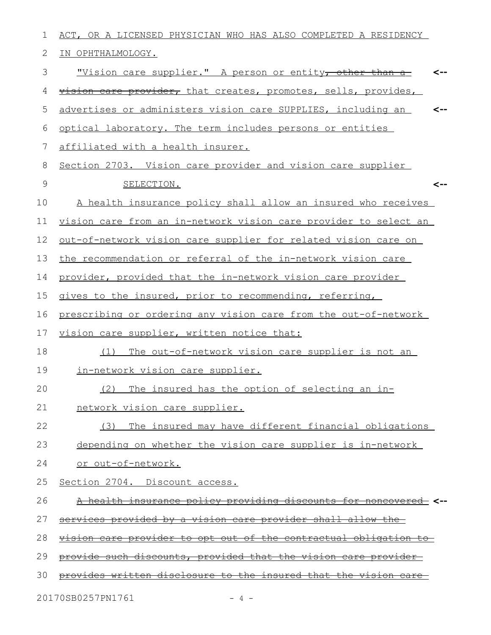| 1           | ACT, OR A LICENSED PHYSICIAN WHO HAS ALSO COMPLETED A RESIDENCY            |
|-------------|----------------------------------------------------------------------------|
| 2           | IN OPHTHALMOLOGY.                                                          |
| 3           | <u>"Vision care supplier." A person or entity<del>, other than a</del></u> |
| 4           | vision care provider, that creates, promotes, sells, provides,             |
| 5           | advertises or administers vision care SUPPLIES, including an<br><--        |
| 6           | optical laboratory. The term includes persons or entities                  |
| 7           | affiliated with a health insurer.                                          |
| 8           | Section 2703. Vision care provider and vision care supplier                |
| $\mathsf 9$ | SELECTION.<br><--                                                          |
| 10          | A health insurance policy shall allow an insured who receives              |
| 11          | vision care from an in-network vision care provider to select an           |
| 12          | out-of-network vision care supplier for related vision care on             |
| 13          | the recommendation or referral of the in-network vision care               |
| 14          | provider, provided that the in-network vision care provider                |
| 15          | gives to the insured, prior to recommending, referring,                    |
| 16          | prescribing or ordering any vision care from the out-of-network            |
| 17          | vision care supplier, written notice that:                                 |
| 18          | The out-of-network vision care supplier is not an<br>(1)                   |
| 19          | in-network vision care supplier.                                           |
| 20          | (2) The insured has the option of selecting an in-                         |
| 21          | network vision care supplier.                                              |
| 22          | The insured may have different financial obligations<br>(3)                |
| 23          | depending on whether the vision care supplier is in-network                |
| 24          | or out-of-network.                                                         |
| 25          | Section 2704. Discount access.                                             |
| 26          | A health insurance policy providing discounts for noncovered <--           |
| 27          | <u>services provided by a vision care provider shall allow the-</u>        |
| 28          | <u>vision care provider to opt out of the contractual obligation to-</u>   |
| 29          | provide such discounts, provided that the vision care provider-            |
| 30          | provides written disclosure to the insured that the vision                 |
|             |                                                                            |

20170SB0257PN1761 - 4 -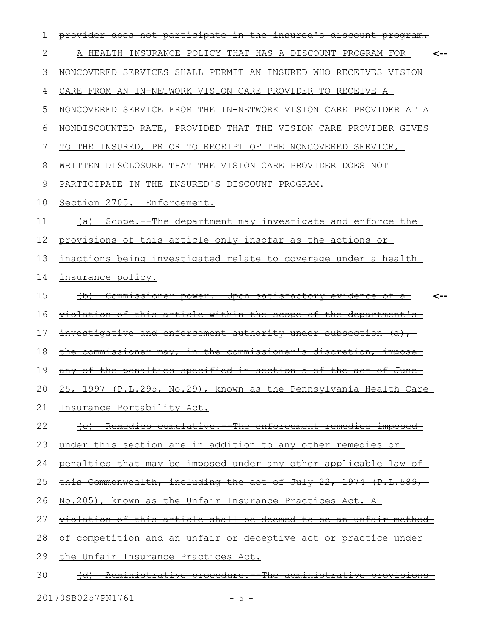| 1  |                                                                                                                                |  |
|----|--------------------------------------------------------------------------------------------------------------------------------|--|
| 2  | HEALTH INSURANCE POLICY THAT HAS A DISCOUNT PROGRAM FOR                                                                        |  |
| 3  | NONCOVERED SERVICES SHALL PERMIT AN INSURED WHO RECEIVES VISION                                                                |  |
| 4  | CARE FROM AN IN-NETWORK VISION CARE PROVIDER TO RECEIVE A                                                                      |  |
| 5  | NONCOVERED SERVICE FROM THE IN-NETWORK VISION CARE PROVIDER AT A                                                               |  |
| 6  | NONDISCOUNTED RATE, PROVIDED THAT THE VISION CARE PROVIDER GIVES                                                               |  |
| 7  | TO THE INSURED, PRIOR TO RECEIPT OF THE NONCOVERED SERVICE,                                                                    |  |
| 8  | WRITTEN DISCLOSURE THAT THE VISION CARE PROVIDER DOES NOT                                                                      |  |
| 9  | PARTICIPATE IN THE INSURED'S DISCOUNT PROGRAM.                                                                                 |  |
| 10 | Section 2705. Enforcement.                                                                                                     |  |
| 11 | Scope.--The department may investigate and enforce the<br>(a)                                                                  |  |
| 12 | provisions of this article only insofar as the actions or                                                                      |  |
| 13 | inactions being investigated relate to coverage under a health                                                                 |  |
| 14 | insurance policy.                                                                                                              |  |
| 15 | <del>-Upon satisfactory evidence-</del><br>Commissioner power.-<br>⊖±                                                          |  |
| 16 | <u>violation of this article within the scope of</u><br><u>the department's-</u>                                               |  |
| 17 | investigative and enforcement authority under<br><del>-subsection</del><br><del>(a), -</del>                                   |  |
| 18 | <del>the commissioner's</del><br><del>discretion.</del><br><del>impose</del><br><del>commissioner mav,</del><br>± <del>n</del> |  |
| 19 | penalties specified in section 5 of<br>the<br><del>the act of</del><br><del>June-</del>                                        |  |
| 20 | 1997 (P.L.295, No.29), known as the Pennsylvania Health Care<br>$25 -$                                                         |  |
| 21 | Insurance Portability Act.                                                                                                     |  |
| 22 | Remedies cumulative. The enforcement remedies imposed                                                                          |  |
| 23 | <u>under this section are in addition to any other remedies or-</u>                                                            |  |
| 24 | penalties that may be imposed under any other applicable law of                                                                |  |
| 25 | this Commonwealth, including the act of July 22, 1974 (P.L.589,                                                                |  |
| 26 | No.205), known as the Unfair Insurance Practices Act. A                                                                        |  |
| 27 | <u>violation of this article shall be deemed to be an unfair method</u>                                                        |  |
| 28 | <u>competition and an unfair or deceptive act or practice under-</u>                                                           |  |
| 29 | <u>the Unfair Insurance Practices Act.</u>                                                                                     |  |
| 30 | Administrative procedure. The administrative provisions                                                                        |  |
|    | 20170SB0257PN1761<br>$-5 -$                                                                                                    |  |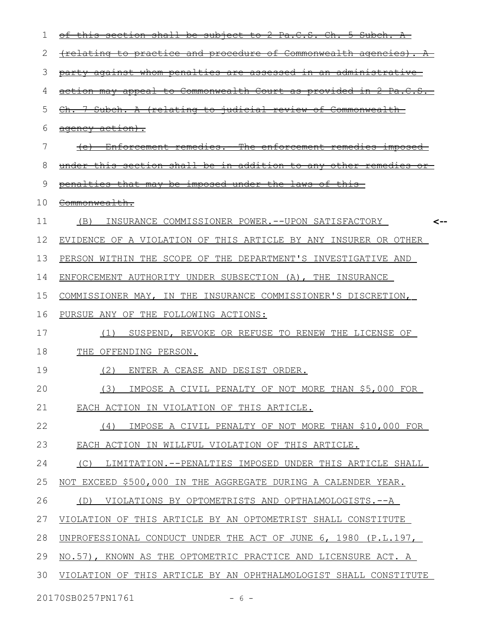| T  | <del>shall</del><br>Ÿ.<br><del>S.</del><br><del>sub</del><br><del>Pa.C.</del><br>±on                                                        |
|----|---------------------------------------------------------------------------------------------------------------------------------------------|
| 2  | <del>procedure of</del><br><del>(relatınc</del><br><del>Commonwealth agencies).</del><br><del>practice and</del><br><del>το</del>           |
| 3  | against whom penalties are assessed<br>±n<br>an<br><del>administrative -</del>                                                              |
| 4  | <del>Commonwealth</del><br><del>Court</del><br><del>appea l</del><br><del>⊣n</del><br><del>to</del><br>-mav<br>ಕ್ಕ                          |
| 5  | <del>iudicial review of</del><br><del>Subch.</del><br><del>(relating</del><br>$\pm \circ$<br><del>Ch.</del><br>A<br><del>Commonwealth</del> |
| 6  | agency action).                                                                                                                             |
| 7  | <del>-The enforcement-</del><br><del>Enforcement remedies.</del><br><del>remedies</del><br><del>ımpose</del>                                |
| 8  | <del>section shall</del><br><del>addit</del><br><del>under</del><br><del>be</del><br>±n<br><del>to anv</del><br><del>10n</del>              |
| 9  | imposed under the laws of<br><del>that mav</del><br><del>be</del><br><del>penalties</del>                                                   |
| 10 | Commonwealth.                                                                                                                               |
| 11 | (B)<br>INSURANCE COMMISSIONER POWER.--UPON SATISFACTORY                                                                                     |
| 12 | EVIDENCE OF A VIOLATION OF THIS ARTICLE BY ANY INSURER OR OTHER                                                                             |
| 13 | PERSON WITHIN THE SCOPE OF THE DEPARTMENT'S INVESTIGATIVE AND                                                                               |
| 14 | ENFORCEMENT AUTHORITY UNDER SUBSECTION (A), THE INSURANCE                                                                                   |
| 15 | THE INSURANCE COMMISSIONER'S DISCRETION,<br>COMMISSIONER MAY,<br>IN.                                                                        |
| 16 | PURSUE ANY OF THE FOLLOWING ACTIONS:                                                                                                        |
| 17 | SUSPEND, REVOKE OR REFUSE TO RENEW THE LICENSE OF<br>(T)                                                                                    |
| 18 | THE OFFENDING PERSON.                                                                                                                       |
| 19 | (2)<br>ENTER A CEASE AND DESIST ORDER.                                                                                                      |
| 20 | IMPOSE A CIVIL PENALTY OF NOT MORE THAN \$5,000 FOR<br>(3)                                                                                  |
| 21 | EACH ACTION IN VIOLATION OF THIS ARTICLE.                                                                                                   |
| 22 | IMPOSE A CIVIL PENALTY OF NOT MORE THAN \$10,000 FOR<br>(4)                                                                                 |
| 23 | EACH ACTION IN WILLFUL VIOLATION OF THIS ARTICLE.                                                                                           |
| 24 | (C)<br>LIMITATION.--PENALTIES IMPOSED UNDER THIS ARTICLE SHALL                                                                              |
| 25 | NOT EXCEED \$500,000 IN THE AGGREGATE DURING A CALENDER YEAR.                                                                               |
| 26 | VIOLATIONS BY OPTOMETRISTS AND OPTHALMOLOGISTS.--A<br>(D)                                                                                   |
| 27 | VIOLATION OF THIS ARTICLE BY AN OPTOMETRIST SHALL CONSTITUTE                                                                                |
| 28 | UNPROFESSIONAL CONDUCT UNDER THE ACT OF JUNE 6, 1980 (P.L.197,                                                                              |
| 29 | NO.57), KNOWN AS THE OPTOMETRIC PRACTICE AND LICENSURE ACT. A                                                                               |
| 30 | VIOLATION OF THIS ARTICLE BY AN OPHTHALMOLOGIST SHALL CONSTITUTE                                                                            |
|    | 20170SB0257PN1761<br>$-6-$                                                                                                                  |